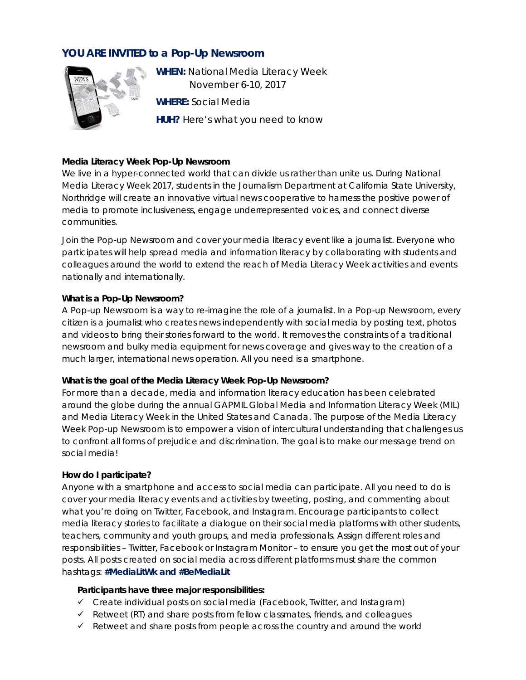# **YOU ARE INVITED to a Pop-Up Newsroom**



**WHEN:** National Media Literacy Week November 6-10, 2017 **WHERE:** Social Media **HUH?** Here's what you need to know

### **Media Literacy Week Pop-Up Newsroom**

We live in a hyper-connected world that can divide us rather than unite us. During National Media Literacy Week 2017, students in the Journalism Department at California State University, Northridge will create an innovative virtual news cooperative to harness the positive power of media to promote inclusiveness, engage underrepresented voices, and connect diverse communities.

*Join the Pop-up Newsroom and cover your media literacy event like a journalist.* Everyone who participates will help spread media and information literacy by collaborating with students and colleagues around the world to extend the reach of Media Literacy Week activities and events nationally and internationally.

#### **What is a Pop-Up Newsroom?**

A Pop-up Newsroom is a way to re-imagine the role of a journalist. In a Pop-up Newsroom, every citizen is a journalist who creates news independently with social media by posting text, photos and videos to bring their stories forward to the world. It removes the constraints of a traditional newsroom and bulky media equipment for news coverage and gives way to the creation of a much larger, international news operation. All you need is a smartphone.

#### **What is the goal of the Media Literacy Week Pop-Up Newsroom?**

For more than a decade, media and information literacy education has been celebrated around the globe during the annual GAPMIL Global Media and Information Literacy Week (MIL) and Media Literacy Week in the United States and Canada. The purpose of the *Media Literacy Week Pop-up Newsroom* is to empower a vision of intercultural understanding that challenges us to confront all forms of prejudice and discrimination. The goal is to make our message trend on social media!

#### **How do I participate?**

Anyone with a smartphone and access to social media can participate. All you need to do is cover your media literacy events and activities by tweeting, posting, and commenting about what you're doing on Twitter, Facebook, and Instagram. Encourage participants to collect media literacy stories to facilitate a dialogue on their social media platforms with other students, teachers, community and youth groups, and media professionals. Assign different roles and responsibilities – Twitter, Facebook or Instagram Monitor – to ensure you get the most out of your posts. All posts created on social media across different platforms must share the common hashtags: **#MediaLitWk** *and* **#BeMediaLit**

#### **Participants have three major responsibilities:**

- $\checkmark$  Create individual posts on social media (Facebook, Twitter, and Instagram)
- $\checkmark$  Retweet (RT) and share posts from fellow classmates, friends, and colleagues
- $\checkmark$  Retweet and share posts from people across the country and around the world